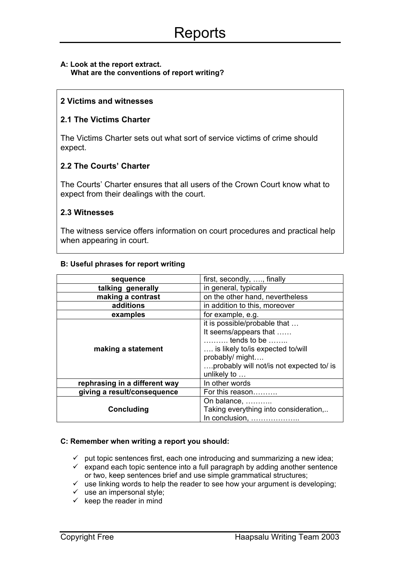### **A: Look at the report extract. What are the conventions of report writing?**

## **2 Victims and witnesses**

# **2.1 The Victims Charter**

The Victims Charter sets out what sort of service victims of crime should expect.

# **2.2 The Courts' Charter**

The Courts' Charter ensures that all users of the Crown Court know what to expect from their dealings with the court.

## **2.3 Witnesses**

The witness service offers information on court procedures and practical help when appearing in court.

### **B: Useful phrases for report writing**

| sequence                      | first, secondly, , finally               |
|-------------------------------|------------------------------------------|
| talking generally             | in general, typically                    |
| making a contrast             | on the other hand, nevertheless          |
| additions                     | in addition to this, moreover            |
| examples                      | for example, e.g.                        |
| making a statement            | it is possible/probable that             |
|                               | It seems/appears that                    |
|                               | $\ldots$ tends to be $\ldots$            |
|                               | is likely to/is expected to/will         |
|                               | probably/ might                          |
|                               | probably will not/is not expected to/ is |
|                               | unlikely to                              |
| rephrasing in a different way | In other words                           |
| giving a result/consequence   | For this reason                          |
|                               | On balance,                              |
| <b>Concluding</b>             | Taking everything into consideration,    |
|                               | In conclusion,                           |

#### **C: Remember when writing a report you should:**

- $\checkmark$  put topic sentences first, each one introducing and summarizing a new idea;
- expand each topic sentence into a full paragraph by adding another sentence or two, keep sentences brief and use simple grammatical structures;
- or two, keep sentences brief and use simple grammatical structures;<br>v use linking words to help the reader to see how your argument is developing;
- $\checkmark$  use an impersonal style;
- $\checkmark$  keep the reader in mind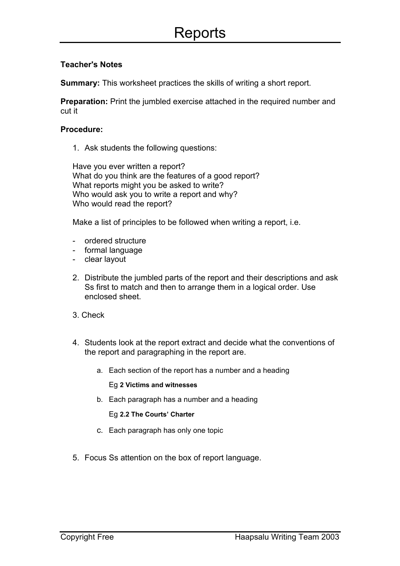# **Teacher's Notes**

**Summary:** This worksheet practices the skills of writing a short report.

**Preparation:** Print the jumbled exercise attached in the required number and cut it

## **Procedure:**

1. Ask students the following questions:

Have you ever written a report? What do you think are the features of a good report? What reports might you be asked to write? Who would ask you to write a report and why? Who would read the report?

Make a list of principles to be followed when writing a report, i.e.

- ordered structure
- formal language
- clear layout
- 2. Distribute the jumbled parts of the report and their descriptions and ask Ss first to match and then to arrange them in a logical order. Use enclosed sheet.
- 3. Check
- 4. Students look at the report extract and decide what the conventions of the report and paragraphing in the report are.
	- a. Each section of the report has a number and a heading

#### Eg **2 Victims and witnesses**

b. Each paragraph has a number and a heading

Eg **2.2 The Courts' Charter**

- c. Each paragraph has only one topic
- 5. Focus Ss attention on the box of report language.